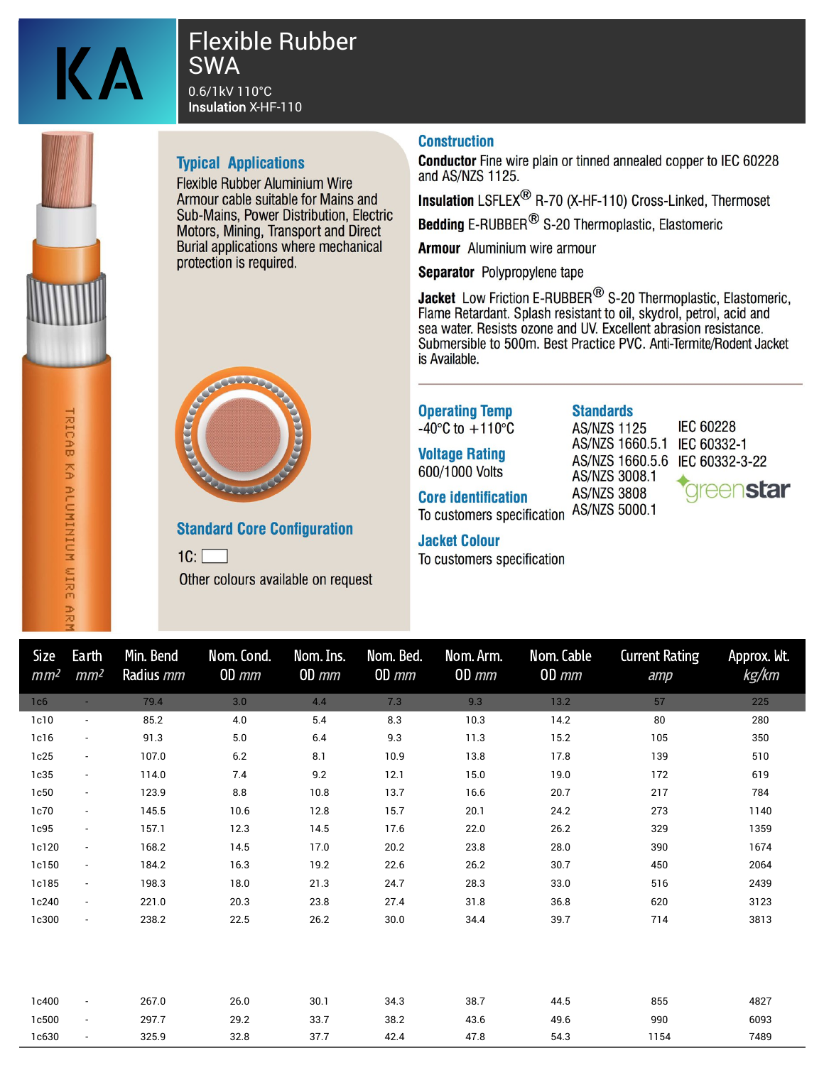

HRICAB KA ALUNINIUN UIRE PR

# **Flexible Rubber SWA**

0.6/1kV 110°C **Insulation X-HF-110** 

### **Typical Applications**

**Flexible Rubber Aluminium Wire** Armour cable suitable for Mains and Sub-Mains, Power Distribution, Electric Motors, Mining. Transport and Direct Burial applications where mechanical protection is required.



**Conductor** Fine wire plain or tinned annealed copper to IEC 60228 and AS/NZS 1125.

Insulation LSFLEX<sup>®</sup> R-70 (X-HF-110) Cross-Linked, Thermoset

Bedding E-RUBBER<sup>®</sup> S-20 Thermoplastic. Elastomeric

**Armour** Aluminium wire armour

Separator Polypropylene tape

**Jacket** Low Friction E-RUBBER<sup>®</sup> S-20 Thermoplastic, Elastomeric, Flame Retardant. Splash resistant to oil, skydrol, petrol, acid and sea water. Resists ozone and UV. Excellent abrasion resistance. Submersible to 500m. Best Practice PVC. Anti-Termite/Rodent Jacket is Available.



### **Standard Core Configuration**

 $1C:$ Other colours available on request **Operating Temp** -40 $\degree$ C to +110 $\degree$ C

**Voltage Rating** 600/1000 Volts

**Core identification** To customers specification AS/NZS 5000.1

#### **Jacket Colour**

To customers specification

**Standards AS/NZS 1125** AS/NZS 1660.5.1 IEC 60332-1 AS/NZS 3008.1 **AS/NZS 3808** 

**IEC 60228** AS/NZS 1660.5.6 IEC 60332-3-22 **rreenstar** 

| <b>Size</b><br>mm <sup>2</sup> | Earth<br>mm <sup>2</sup> | Min. Bend<br>Radius mm | Nom. Cond.<br>$OD \, mm$ | Nom. Ins.<br>$OD \, mm$ | Nom. Bed.<br>$OD \, mm$ | Nom. Arm.<br>$OD \, mm$ | Nom. Cable<br>$OD \, mm$ | <b>Current Rating</b><br>amp | Approx. Wt.<br>kg/km |
|--------------------------------|--------------------------|------------------------|--------------------------|-------------------------|-------------------------|-------------------------|--------------------------|------------------------------|----------------------|
| 1 <sub>c6</sub>                |                          | 79.4                   | 3.0                      | 4.4                     | 7.3                     | 9.3                     | 13.2                     | 57                           | 225                  |
| 1c10                           | $\overline{\phantom{a}}$ | 85.2                   | 4.0                      | 5.4                     | 8.3                     | 10.3                    | 14.2                     | 80                           | 280                  |
| 1c16                           | $\overline{\phantom{a}}$ | 91.3                   | 5.0                      | 6.4                     | 9.3                     | 11.3                    | 15.2                     | 105                          | 350                  |
| 1c25                           | $\overline{\phantom{a}}$ | 107.0                  | 6.2                      | 8.1                     | 10.9                    | 13.8                    | 17.8                     | 139                          | 510                  |
| 1c35                           | $\overline{\phantom{a}}$ | 114.0                  | 7.4                      | 9.2                     | 12.1                    | 15.0                    | 19.0                     | 172                          | 619                  |
| 1c50                           | $\overline{\phantom{a}}$ | 123.9                  | 8.8                      | 10.8                    | 13.7                    | 16.6                    | 20.7                     | 217                          | 784                  |
| 1c70                           | $\blacksquare$           | 145.5                  | 10.6                     | 12.8                    | 15.7                    | 20.1                    | 24.2                     | 273                          | 1140                 |
| 1c95                           | $\overline{\phantom{a}}$ | 157.1                  | 12.3                     | 14.5                    | 17.6                    | 22.0                    | 26.2                     | 329                          | 1359                 |
| 1c120                          | $\overline{\phantom{a}}$ | 168.2                  | 14.5                     | 17.0                    | 20.2                    | 23.8                    | 28.0                     | 390                          | 1674                 |
| 1c150                          | $\overline{\phantom{a}}$ | 184.2                  | 16.3                     | 19.2                    | 22.6                    | 26.2                    | 30.7                     | 450                          | 2064                 |
| 1c185                          | $\blacksquare$           | 198.3                  | 18.0                     | 21.3                    | 24.7                    | 28.3                    | 33.0                     | 516                          | 2439                 |
| 1c240                          | $\blacksquare$           | 221.0                  | 20.3                     | 23.8                    | 27.4                    | 31.8                    | 36.8                     | 620                          | 3123                 |
| 1c300                          | $\overline{\phantom{a}}$ | 238.2                  | 22.5                     | 26.2                    | 30.0                    | 34.4                    | 39.7                     | 714                          | 3813                 |
|                                |                          |                        |                          |                         |                         |                         |                          |                              |                      |
| 1c400                          | $\overline{\phantom{a}}$ | 267.0                  | 26.0                     | 30.1                    | 34.3                    | 38.7                    | 44.5                     | 855                          | 4827                 |
| 1c500                          | $\overline{\phantom{a}}$ | 297.7                  | 29.2                     | 33.7                    | 38.2                    | 43.6                    | 49.6                     | 990                          | 6093                 |
| 1c630                          |                          | 325.9                  | 32.8                     | 37.7                    | 42.4                    | 47.8                    | 54.3                     | 1154                         | 7489                 |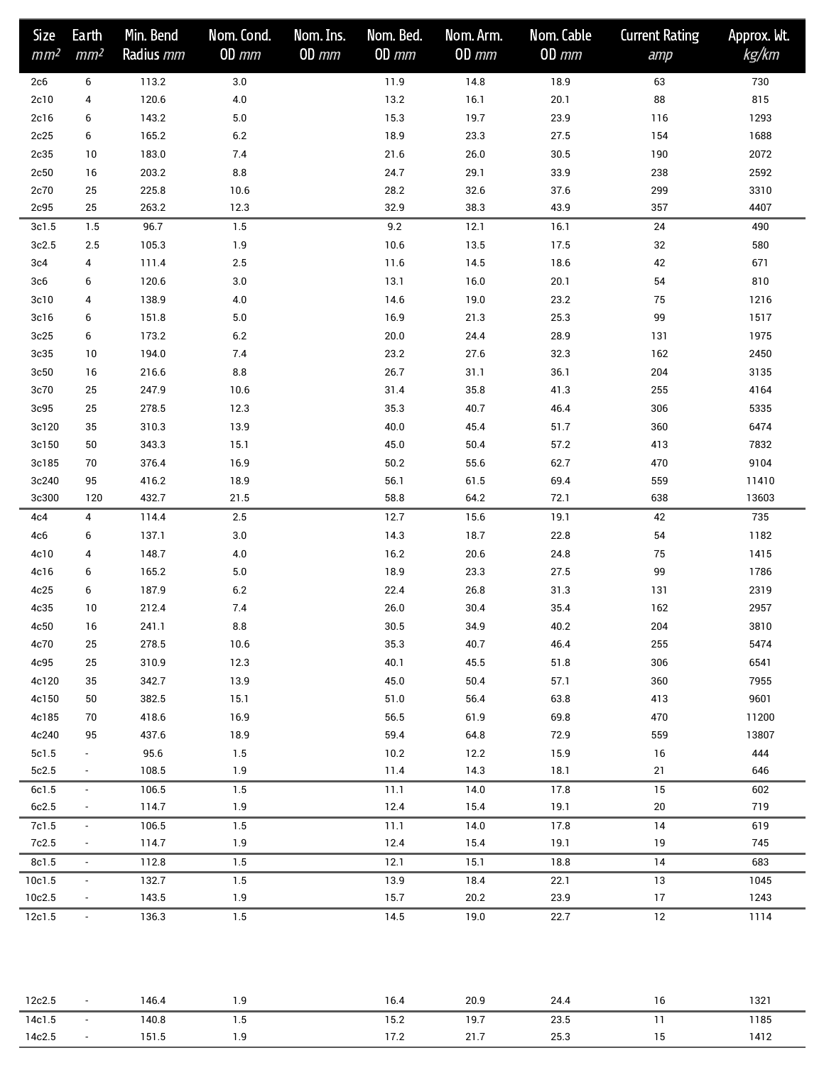| <b>Size</b><br>mm <sup>2</sup> | Earth<br>mm <sup>2</sup> | Min. Bend<br>Radius mm | Nom. Cond.<br>$OD \, mm$ | Nom. Ins.<br>$OD \, mm$ | Nom. Bed.<br>$OD \, mm$ | Nom. Arm.<br>$OD \, mm$ | Nom. Cable<br>$OD \, mm$ | <b>Current Rating</b><br>amp | Approx. Wt.<br>kg/km |
|--------------------------------|--------------------------|------------------------|--------------------------|-------------------------|-------------------------|-------------------------|--------------------------|------------------------------|----------------------|
| 2c6                            | 6                        | 113.2                  | $3.0\,$                  |                         | 11.9                    | 14.8                    | 18.9                     | 63                           | 730                  |
| 2c10                           | 4                        | 120.6                  | $4.0\,$                  |                         | 13.2                    | 16.1                    | 20.1                     | 88                           | 815                  |
| 2c16                           | 6                        | 143.2                  | $5.0\,$                  |                         | 15.3                    | 19.7                    | 23.9                     | 116                          | 1293                 |
| 2c25                           | 6                        | 165.2                  | $6.2\,$                  |                         | 18.9                    | 23.3                    | 27.5                     | 154                          | 1688                 |
| 2c35                           | 10                       | 183.0                  | 7.4                      |                         | 21.6                    | $26.0\,$                | $30.5\,$                 | 190                          | 2072                 |
| 2c50                           | 16                       | 203.2                  | 8.8                      |                         | 24.7                    | 29.1                    | 33.9                     | 238                          | 2592                 |
| 2c70                           | 25                       | 225.8                  | 10.6                     |                         | 28.2                    | 32.6                    | 37.6                     | 299                          | 3310                 |
| 2c95                           | 25                       | 263.2                  | 12.3                     |                         | 32.9                    | 38.3                    | 43.9                     | 357                          | 4407                 |
| 3c1.5                          | 1.5                      | 96.7                   | $1.5$                    |                         | 9.2                     | 12.1                    | 16.1                     | 24                           | 490                  |
| 3c2.5                          | 2.5                      | 105.3                  | 1.9                      |                         | 10.6                    | 13.5                    | 17.5                     | 32                           | 580                  |
| 3c4                            | 4                        | 111.4                  | $2.5\,$                  |                         | 11.6                    | 14.5                    | 18.6                     | 42                           | 671                  |
| 3c6                            | 6                        | 120.6                  | $3.0\,$                  |                         | 13.1                    | 16.0                    | 20.1                     | 54                           | 810                  |
| 3c10                           | 4                        | 138.9                  | 4.0                      |                         | 14.6                    | 19.0                    | 23.2                     | 75                           | 1216                 |
| 3c16                           | 6                        | 151.8                  | $5.0\,$                  |                         | 16.9                    | 21.3                    | 25.3                     | 99                           | 1517                 |
| 3c25                           | 6                        | 173.2                  | $6.2\,$                  |                         | $20.0\,$                | 24.4                    | 28.9                     | 131                          | 1975                 |
| 3c35                           | 10                       | 194.0                  | 7.4                      |                         | 23.2                    | 27.6                    | 32.3                     | 162                          | 2450                 |
| 3c50                           | 16                       | 216.6                  | $8.8\,$                  |                         | 26.7                    | 31.1                    | 36.1                     | 204                          | 3135                 |
| 3c70                           | 25                       | 247.9                  | 10.6                     |                         | 31.4                    | 35.8                    | 41.3                     | 255                          | 4164                 |
| 3c95                           | 25                       | 278.5                  | 12.3                     |                         | 35.3                    | 40.7                    | 46.4                     | 306                          | 5335                 |
| 3c120                          | 35                       | 310.3                  | 13.9                     |                         | 40.0                    | 45.4                    | 51.7                     | 360                          | 6474                 |
| 3c150                          | 50                       | 343.3                  | 15.1                     |                         | 45.0                    | 50.4                    | 57.2                     | 413                          | 7832                 |
| 3c185                          | 70                       | 376.4                  | 16.9                     |                         | $50.2\,$                | 55.6                    | 62.7                     | 470                          | 9104                 |
| 3c240                          | 95                       | 416.2                  | 18.9                     |                         | 56.1                    | 61.5                    | 69.4                     | 559                          | 11410                |
| 3c300                          | 120                      | 432.7                  | 21.5                     |                         | 58.8                    | 64.2                    | 72.1                     | 638                          | 13603                |
| 4c4                            | 4                        | 114.4                  | $2.5\,$                  |                         | 12.7                    | 15.6                    | 19.1                     | 42                           | 735                  |
| 4c6                            | 6                        | 137.1                  | $3.0\,$                  |                         | 14.3                    | 18.7                    | 22.8                     | 54                           | 1182                 |
| 4c10                           | 4                        | 148.7                  | $4.0\,$                  |                         | 16.2                    | 20.6                    | 24.8                     | 75                           | 1415                 |
| 4c16                           | 6                        | 165.2                  | $5.0\,$                  |                         | 18.9                    | 23.3                    | 27.5                     | 99                           | 1786                 |
| 4c25                           | 6                        | 187.9                  | $6.2\,$                  |                         | 22.4                    | 26.8                    | 31.3                     | 131                          | 2319                 |
| 4c35                           | 10                       | 212.4                  | 7.4                      |                         | $26.0\,$                | 30.4                    | 35.4                     | 162                          | 2957                 |
| 4c50                           | 16                       | 241.1                  | 8.8                      |                         | $30.5\,$                | 34.9                    | 40.2                     | 204                          | 3810                 |
| 4c70                           | 25                       | 278.5<br>310.9         | 10.6<br>12.3             |                         | 35.3<br>40.1            | 40.7<br>45.5            | 46.4<br>51.8             | 255<br>306                   | 5474<br>6541         |
| 4c95<br>4c120                  | 25<br>35                 | 342.7                  | 13.9                     |                         | 45.0                    | 50.4                    | 57.1                     | 360                          | 7955                 |
| 4c150                          | 50                       | 382.5                  | 15.1                     |                         | 51.0                    | 56.4                    | 63.8                     | 413                          | 9601                 |
| 4c185                          | 70                       | 418.6                  | 16.9                     |                         | 56.5                    | 61.9                    | 69.8                     | 470                          | 11200                |
| 4c240                          | 95                       | 437.6                  | 18.9                     |                         | 59.4                    | 64.8                    | 72.9                     | 559                          | 13807                |
| 5c1.5                          | $\sim$                   | 95.6                   | 1.5                      |                         | 10.2                    | 12.2                    | 15.9                     | 16                           | 444                  |
| 5c2.5                          | $\sim$                   | 108.5                  | 1.9                      |                         | 11.4                    | 14.3                    | 18.1                     | 21                           | 646                  |
| 6c1.5                          | $\sim$                   | 106.5                  | 1.5                      |                         | 11.1                    | 14.0                    | 17.8                     | 15                           | 602                  |
| 6c2.5                          | $\overline{\phantom{a}}$ | 114.7                  | 1.9                      |                         | 12.4                    | 15.4                    | 19.1                     | 20                           | 719                  |
| 7c1.5                          | $\sim$                   | 106.5                  | 1.5                      |                         | 11.1                    | 14.0                    | 17.8                     | 14                           | 619                  |
| 7c2.5                          | $\sim$                   | 114.7                  | 1.9                      |                         | 12.4                    | 15.4                    | 19.1                     | 19                           | 745                  |
| 8c1.5                          | $\blacksquare$           | 112.8                  | 1.5                      |                         | 12.1                    | 15.1                    | 18.8                     | 14                           | 683                  |
| 10c1.5                         | $\sim$                   | 132.7                  | 1.5                      |                         | 13.9                    | 18.4                    | 22.1                     | 13                           | 1045                 |
| 10c2.5                         | $\sim$                   | 143.5                  | 1.9                      |                         | 15.7                    | 20.2                    | 23.9                     | 17                           | 1243                 |
| 12c1.5                         | $\sim$                   | 136.3                  | 1.5                      |                         | 14.5                    | 19.0                    | 22.7                     | 12                           | 1114                 |
|                                |                          |                        |                          |                         |                         |                         |                          |                              |                      |
| 12c2.5                         | $\sim$                   | 146.4                  | 1.9                      |                         | 16.4                    | 20.9                    | 24.4                     | 16                           | 1321                 |
| 14c1.5                         | $\sim$                   | 140.8                  | 1.5                      |                         | 15.2                    | 19.7                    | 23.5                     | 11                           | 1185                 |
| 14c2.5                         | $\sim$                   | 151.5                  | 1.9                      |                         | 17.2                    | 21.7                    | 25.3                     | 15                           | 1412                 |